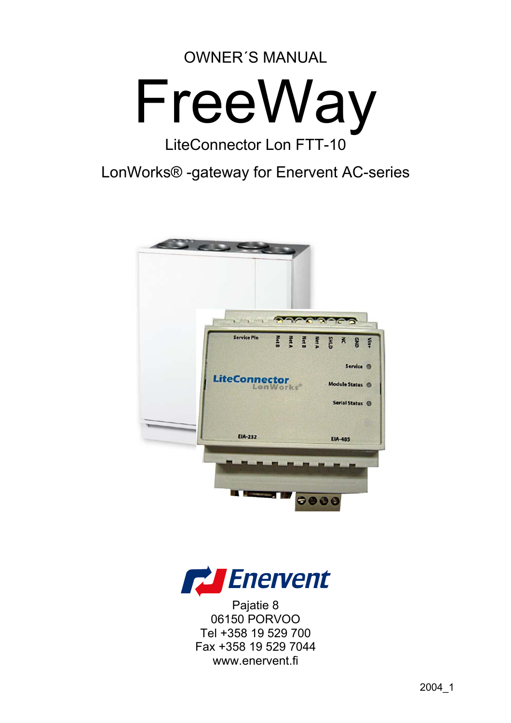# OWNER´S MANUAL



# LiteConnector Lon FTT-10

LonWorks® -gateway for Enervent AC-series





Pajatie 8 06150 PORVOO Tel +358 19 529 700 Fax +358 19 529 7044 www.enervent.fi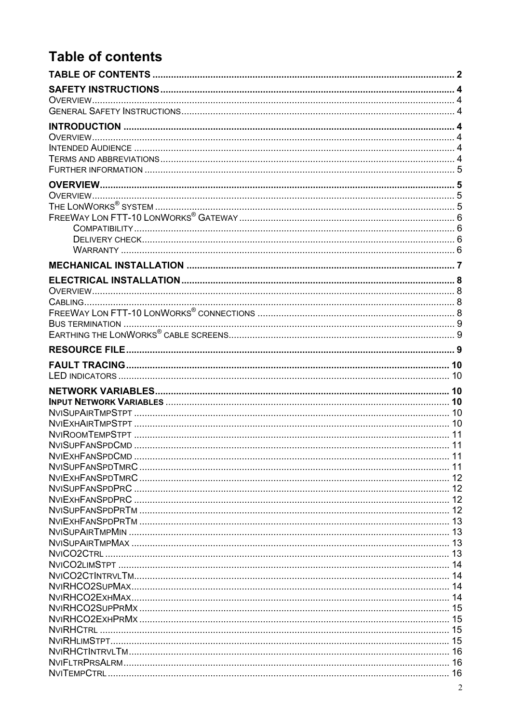# <span id="page-1-0"></span>**Table of contents**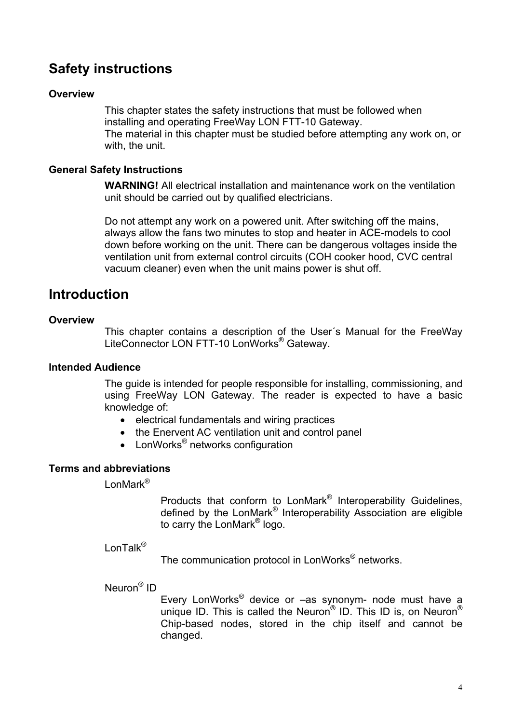## <span id="page-3-0"></span>**Safety instructions**

#### **Overview**

This chapter states the safety instructions that must be followed when installing and operating FreeWay LON FTT-10 Gateway. The material in this chapter must be studied before attempting any work on, or with, the unit.

#### **General Safety Instructions**

**WARNING!** All electrical installation and maintenance work on the ventilation unit should be carried out by qualified electricians.

Do not attempt any work on a powered unit. After switching off the mains, always allow the fans two minutes to stop and heater in ACE-models to cool down before working on the unit. There can be dangerous voltages inside the ventilation unit from external control circuits (COH cooker hood, CVC central vacuum cleaner) even when the unit mains power is shut off.

## **Introduction**

#### **Overview**

This chapter contains a description of the User´s Manual for the FreeWay LiteConnector LON FTT-10 LonWorks® Gateway.

#### **Intended Audience**

The guide is intended for people responsible for installing, commissioning, and using FreeWay LON Gateway. The reader is expected to have a basic knowledge of:

- electrical fundamentals and wiring practices
- the Enervent AC ventilation unit and control panel
- LonWorks<sup>®</sup> networks configuration

#### **Terms and abbreviations**

LonMark<sup>®</sup>

Products that conform to LonMark® Interoperability Guidelines, defined by the LonMark® Interoperability Association are eligible to carry the LonMark® logo.

LonTalk<sup>®</sup>

The communication protocol in LonWorks<sup>®</sup> networks.

Neuron® ID

Every LonWorks® device or –as synonym- node must have a unique ID. This is called the Neuron<sup>®</sup> ID. This ID is, on Neuron<sup>®</sup> Chip-based nodes, stored in the chip itself and cannot be changed.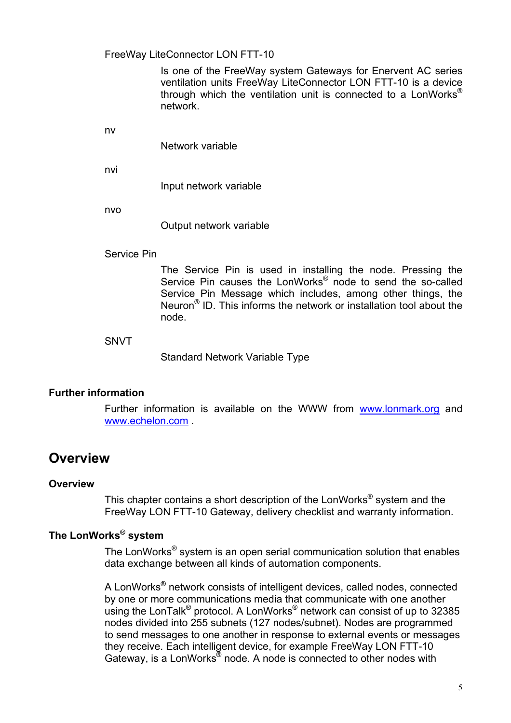#### <span id="page-4-0"></span>FreeWay LiteConnector LON FTT-10

Is one of the FreeWay system Gateways for Enervent AC series ventilation units FreeWay LiteConnector LON FTT-10 is a device through which the ventilation unit is connected to a LonWorks<sup>®</sup> network.

nv

Network variable

nvi

Input network variable

nvo

Output network variable

#### Service Pin

The Service Pin is used in installing the node. Pressing the Service Pin causes the LonWorks® node to send the so-called Service Pin Message which includes, among other things, the Neuron® ID. This informs the network or installation tool about the node.

#### SNVT

Standard Network Variable Type

#### **Further information**

Further information is available on the WWW from [www.lonmark.org](http://www.lonmark.org/) and [www.echelon.com](http://www.echelon.com/) .

## **Overview**

#### **Overview**

This chapter contains a short description of the LonWorks® system and the FreeWay LON FTT-10 Gateway, delivery checklist and warranty information.

## **The LonWorks® system**

The LonWorks<sup>®</sup> system is an open serial communication solution that enables data exchange between all kinds of automation components.

A LonWorks® network consists of intelligent devices, called nodes, connected by one or more communications media that communicate with one another using the LonTalk<sup>®</sup> protocol. A LonWorks<sup>®</sup> network can consist of up to 32385 nodes divided into 255 subnets (127 nodes/subnet). Nodes are programmed to send messages to one another in response to external events or messages they receive. Each intelligent device, for example FreeWay LON FTT-10 Gateway, is a LonWorks® node. A node is connected to other nodes with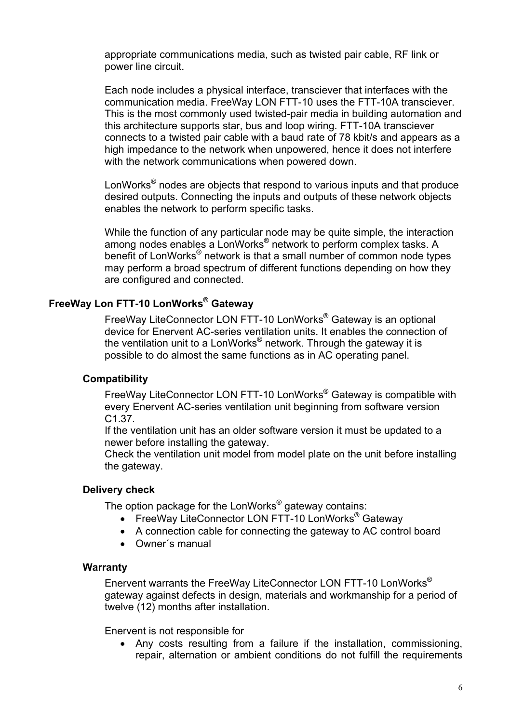<span id="page-5-0"></span>appropriate communications media, such as twisted pair cable, RF link or power line circuit.

Each node includes a physical interface, transciever that interfaces with the communication media. FreeWay LON FTT-10 uses the FTT-10A transciever. This is the most commonly used twisted-pair media in building automation and this architecture supports star, bus and loop wiring. FTT-10A transciever connects to a twisted pair cable with a baud rate of 78 kbit/s and appears as a high impedance to the network when unpowered, hence it does not interfere with the network communications when powered down.

LonWorks<sup>®</sup> nodes are objects that respond to various inputs and that produce desired outputs. Connecting the inputs and outputs of these network objects enables the network to perform specific tasks.

While the function of any particular node may be quite simple, the interaction among nodes enables a LonWorks<sup>®</sup> network to perform complex tasks. A benefit of LonWorks<sup>®</sup> network is that a small number of common node types may perform a broad spectrum of different functions depending on how they are configured and connected.

#### **FreeWay Lon FTT-10 LonWorks® Gateway**

FreeWay LiteConnector LON FTT-10 LonWorks® Gateway is an optional device for Enervent AC-series ventilation units. It enables the connection of the ventilation unit to a LonWorks<sup>®</sup> network. Through the gateway it is possible to do almost the same functions as in AC operating panel.

#### **Compatibility**

FreeWay LiteConnector LON FTT-10 LonWorks® Gateway is compatible with every Enervent AC-series ventilation unit beginning from software version C1.37.

If the ventilation unit has an older software version it must be updated to a newer before installing the gateway.

Check the ventilation unit model from model plate on the unit before installing the gateway.

#### **Delivery check**

The option package for the LonWorks<sup>®</sup> gateway contains:

- FreeWay LiteConnector LON FTT-10 LonWorks<sup>®</sup> Gateway
- A connection cable for connecting the gateway to AC control board
- Owner´s manual

#### **Warranty**

Enervent warrants the FreeWay LiteConnector LON FTT-10 LonWorks® gateway against defects in design, materials and workmanship for a period of twelve (12) months after installation.

Enervent is not responsible for

• Any costs resulting from a failure if the installation, commissioning, repair, alternation or ambient conditions do not fulfill the requirements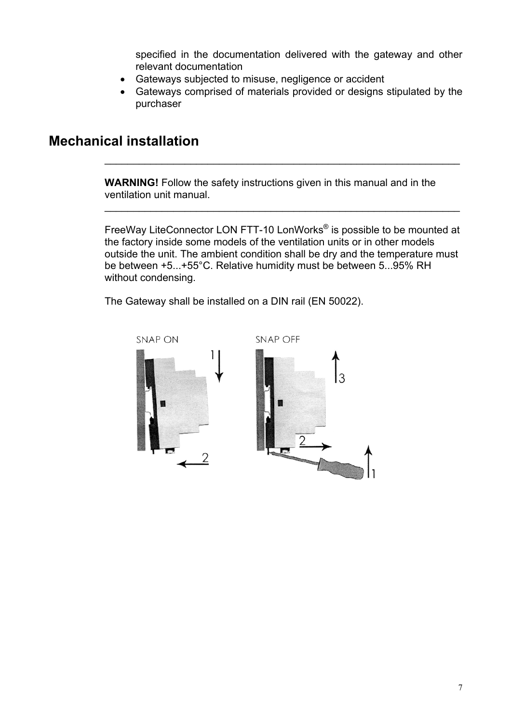specified in the documentation delivered with the gateway and other relevant documentation

- <span id="page-6-0"></span>• Gateways subjected to misuse, negligence or accident
- Gateways comprised of materials provided or designs stipulated by the purchaser

## **Mechanical installation**

**WARNING!** Follow the safety instructions given in this manual and in the ventilation unit manual.

\_\_\_\_\_\_\_\_\_\_\_\_\_\_\_\_\_\_\_\_\_\_\_\_\_\_\_\_\_\_\_\_\_\_\_\_\_\_\_\_\_\_\_\_\_\_\_\_\_\_\_\_\_\_\_\_\_\_\_\_\_\_

 $\mathcal{L}_\text{max} = \mathcal{L}_\text{max} = \mathcal{L}_\text{max} = \mathcal{L}_\text{max} = \mathcal{L}_\text{max} = \mathcal{L}_\text{max} = \mathcal{L}_\text{max} = \mathcal{L}_\text{max} = \mathcal{L}_\text{max} = \mathcal{L}_\text{max} = \mathcal{L}_\text{max} = \mathcal{L}_\text{max} = \mathcal{L}_\text{max} = \mathcal{L}_\text{max} = \mathcal{L}_\text{max} = \mathcal{L}_\text{max} = \mathcal{L}_\text{max} = \mathcal{L}_\text{max} = \mathcal{$ 

FreeWay LiteConnector LON FTT-10 LonWorks® is possible to be mounted at the factory inside some models of the ventilation units or in other models outside the unit. The ambient condition shall be dry and the temperature must be between +5...+55°C. Relative humidity must be between 5...95% RH without condensing.

The Gateway shall be installed on a DIN rail (EN 50022).

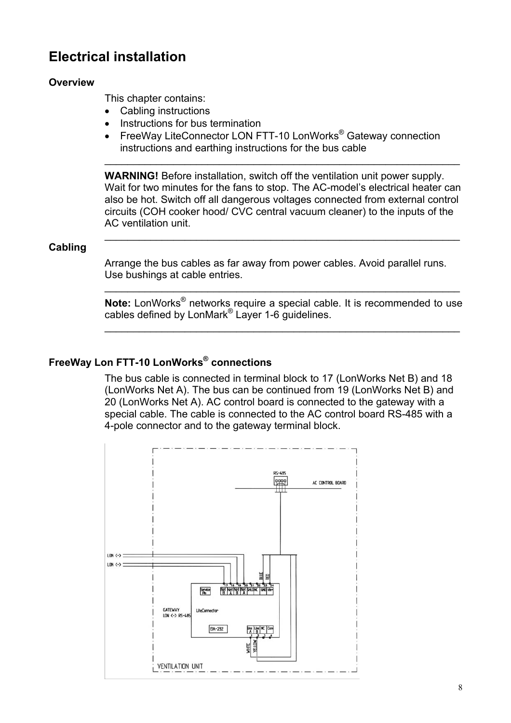## <span id="page-7-0"></span>**Electrical installation**

#### **Overview**

This chapter contains:

- Cabling instructions
- Instructions for bus termination
- FreeWay LiteConnector LON FTT-10 LonWorks<sup>®</sup> Gateway connection instructions and earthing instructions for the bus cable

**WARNING!** Before installation, switch off the ventilation unit power supply. Wait for two minutes for the fans to stop. The AC-model's electrical heater can also be hot. Switch off all dangerous voltages connected from external control circuits (COH cooker hood/ CVC central vacuum cleaner) to the inputs of the AC ventilation unit.

\_\_\_\_\_\_\_\_\_\_\_\_\_\_\_\_\_\_\_\_\_\_\_\_\_\_\_\_\_\_\_\_\_\_\_\_\_\_\_\_\_\_\_\_\_\_\_\_\_\_\_\_\_\_\_\_\_\_\_\_\_\_

\_\_\_\_\_\_\_\_\_\_\_\_\_\_\_\_\_\_\_\_\_\_\_\_\_\_\_\_\_\_\_\_\_\_\_\_\_\_\_\_\_\_\_\_\_\_\_\_\_\_\_\_\_\_\_\_\_\_\_\_\_\_

#### **Cabling**

Arrange the bus cables as far away from power cables. Avoid parallel runs. Use bushings at cable entries.

**Note:** LonWorks® networks require a special cable. It is recommended to use cables defined by LonMark® Layer 1-6 guidelines.

 $\mathcal{L}_\text{max} = \mathcal{L}_\text{max} = \mathcal{L}_\text{max} = \mathcal{L}_\text{max} = \mathcal{L}_\text{max} = \mathcal{L}_\text{max} = \mathcal{L}_\text{max} = \mathcal{L}_\text{max} = \mathcal{L}_\text{max} = \mathcal{L}_\text{max} = \mathcal{L}_\text{max} = \mathcal{L}_\text{max} = \mathcal{L}_\text{max} = \mathcal{L}_\text{max} = \mathcal{L}_\text{max} = \mathcal{L}_\text{max} = \mathcal{L}_\text{max} = \mathcal{L}_\text{max} = \mathcal{$ 

\_\_\_\_\_\_\_\_\_\_\_\_\_\_\_\_\_\_\_\_\_\_\_\_\_\_\_\_\_\_\_\_\_\_\_\_\_\_\_\_\_\_\_\_\_\_\_\_\_\_\_\_\_\_\_\_\_\_\_\_\_\_

#### **FreeWay Lon FTT-10 LonWorks® connections**

The bus cable is connected in terminal block to 17 (LonWorks Net B) and 18 (LonWorks Net A). The bus can be continued from 19 (LonWorks Net B) and 20 (LonWorks Net A). AC control board is connected to the gateway with a special cable. The cable is connected to the AC control board RS-485 with a 4-pole connector and to the gateway terminal block.

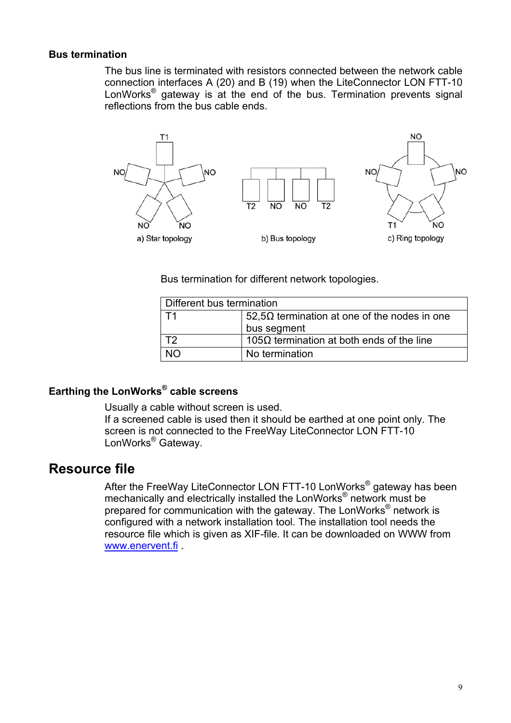#### <span id="page-8-0"></span>**Bus termination**

The bus line is terminated with resistors connected between the network cable connection interfaces A (20) and B (19) when the LiteConnector LON FTT-10 LonWorks<sup>®</sup> gateway is at the end of the bus. Termination prevents signal reflections from the bus cable ends.



Bus termination for different network topologies.

| Different bus termination |                                                     |  |
|---------------------------|-----------------------------------------------------|--|
|                           | $52,5\Omega$ termination at one of the nodes in one |  |
|                           | bus segment                                         |  |
| エク                        | 105 $\Omega$ termination at both ends of the line   |  |
|                           | No termination                                      |  |

## **Earthing the LonWorks® cable screens**

Usually a cable without screen is used.

If a screened cable is used then it should be earthed at one point only. The screen is not connected to the FreeWay LiteConnector LON FTT-10 LonWorks® Gateway.

## **Resource file**

After the FreeWay LiteConnector LON FTT-10 LonWorks<sup>®</sup> gateway has been mechanically and electrically installed the LonWorks® network must be prepared for communication with the gateway. The LonWorks® network is configured with a network installation tool. The installation tool needs the resource file which is given as XIF-file. It can be downloaded on WWW from [www.enervent.fi](http://www.exvent.fi/) .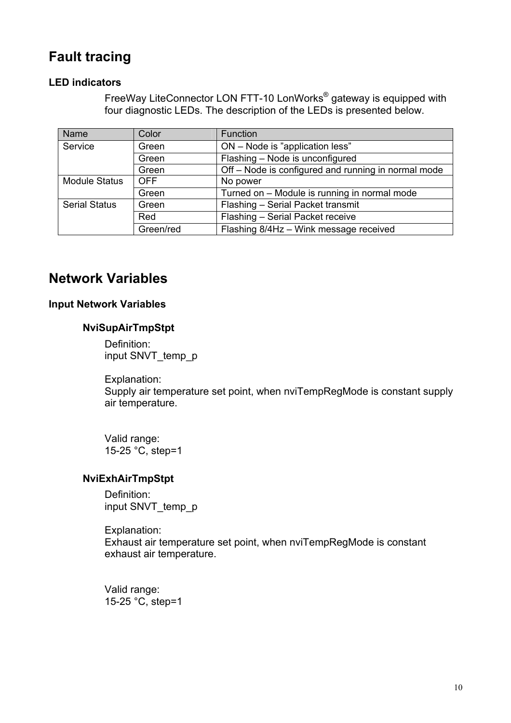## <span id="page-9-0"></span>**Fault tracing**

#### **LED indicators**

FreeWay LiteConnector LON FTT-10 LonWorks® gateway is equipped with four diagnostic LEDs. The description of the LEDs is presented below.

| Name                 | Color      | Function                                            |
|----------------------|------------|-----------------------------------------------------|
| Service              | Green      | ON - Node is "application less"                     |
|                      | Green      | Flashing - Node is unconfigured                     |
|                      | Green      | Off - Node is configured and running in normal mode |
| <b>Module Status</b> | <b>OFF</b> | No power                                            |
|                      | Green      | Turned on - Module is running in normal mode        |
| <b>Serial Status</b> | Green      | Flashing - Serial Packet transmit                   |
|                      | Red        | Flashing - Serial Packet receive                    |
|                      | Green/red  | Flashing 8/4Hz - Wink message received              |

## **Network Variables**

#### **Input Network Variables**

#### **NviSupAirTmpStpt**

Definition: input SNVT\_temp\_p

Explanation: Supply air temperature set point, when nviTempRegMode is constant supply air temperature.

Valid range: 15-25 °C, step=1

#### **NviExhAirTmpStpt**

Definition: input SNVT\_temp\_p

Explanation: Exhaust air temperature set point, when nviTempRegMode is constant exhaust air temperature.

Valid range: 15-25 °C, step=1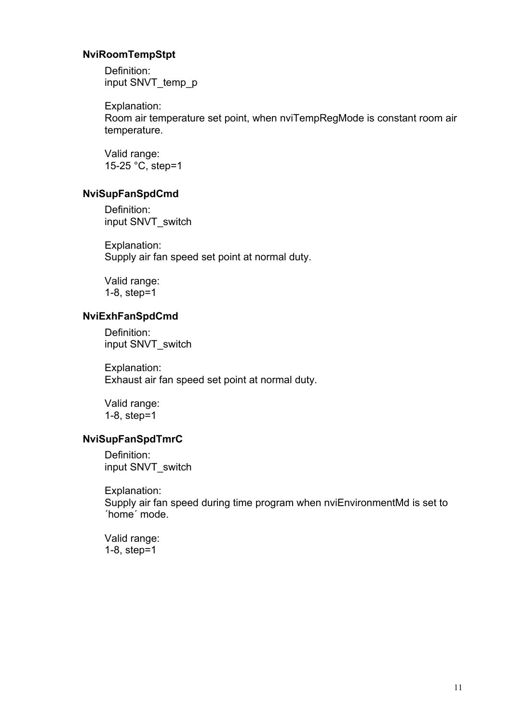#### <span id="page-10-0"></span> **NviRoomTempStpt**

Definition: input SNVT\_temp\_p

Explanation:

Room air temperature set point, when nviTempRegMode is constant room air temperature.

Valid range: 15-25 °C, step=1

#### **NviSupFanSpdCmd**

Definition: input SNVT\_switch

Explanation: Supply air fan speed set point at normal duty.

Valid range: 1-8, step=1

#### **NviExhFanSpdCmd**

Definition: input SNVT\_switch

Explanation: Exhaust air fan speed set point at normal duty.

Valid range: 1-8, step=1

#### **NviSupFanSpdTmrC**

Definition: input SNVT\_switch

Explanation: Supply air fan speed during time program when nviEnvironmentMd is set to ´home´ mode.

Valid range: 1-8, step=1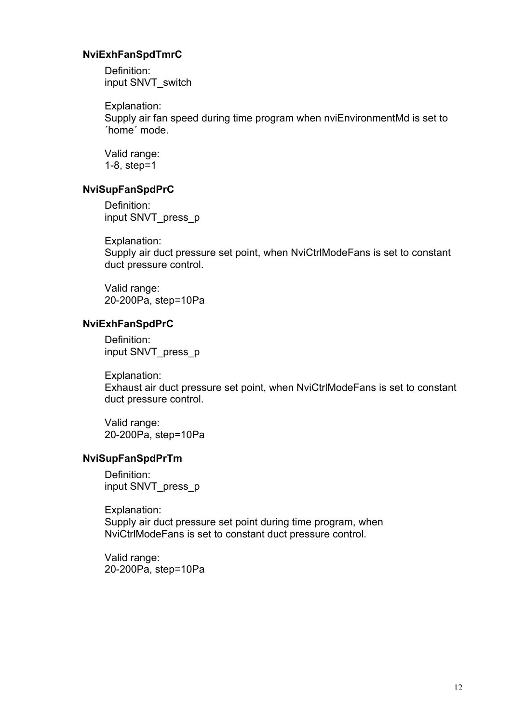#### <span id="page-11-0"></span> **NviExhFanSpdTmrC**

Definition: input SNVT\_switch

Explanation:

Supply air fan speed during time program when nviEnvironmentMd is set to ´home´ mode.

Valid range: 1-8, step=1

#### **NviSupFanSpdPrC**

Definition: input SNVT\_press\_p

Explanation: Supply air duct pressure set point, when NviCtrlModeFans is set to constant duct pressure control.

Valid range: 20-200Pa, step=10Pa

#### **NviExhFanSpdPrC**

Definition: input SNVT\_press\_p

Explanation: Exhaust air duct pressure set point, when NviCtrlModeFans is set to constant duct pressure control.

Valid range: 20-200Pa, step=10Pa

#### **NviSupFanSpdPrTm**

Definition: input SNVT\_press\_p

Explanation: Supply air duct pressure set point during time program, when NviCtrlModeFans is set to constant duct pressure control.

Valid range: 20-200Pa, step=10Pa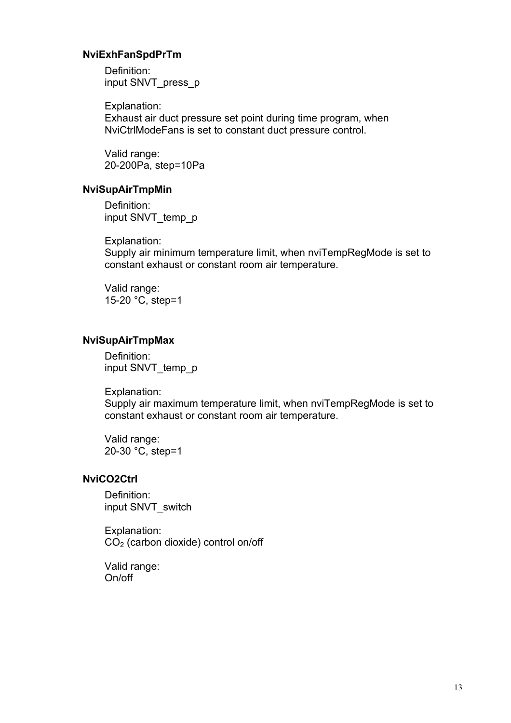#### <span id="page-12-0"></span> **NviExhFanSpdPrTm**

Definition: input SNVT\_press\_p

Explanation: Exhaust air duct pressure set point during time program, when NviCtrlModeFans is set to constant duct pressure control.

Valid range: 20-200Pa, step=10Pa

#### **NviSupAirTmpMin**

Definition: input SNVT\_temp\_p

Explanation: Supply air minimum temperature limit, when nviTempRegMode is set to constant exhaust or constant room air temperature.

Valid range: 15-20 °C, step=1

#### **NviSupAirTmpMax**

Definition: input SNVT\_temp\_p

Explanation: Supply air maximum temperature limit, when nviTempRegMode is set to constant exhaust or constant room air temperature.

Valid range: 20-30 °C, step=1

#### **NviCO2Ctrl**

Definition: input SNVT\_switch

Explanation: CO2 (carbon dioxide) control on/off

Valid range: On/off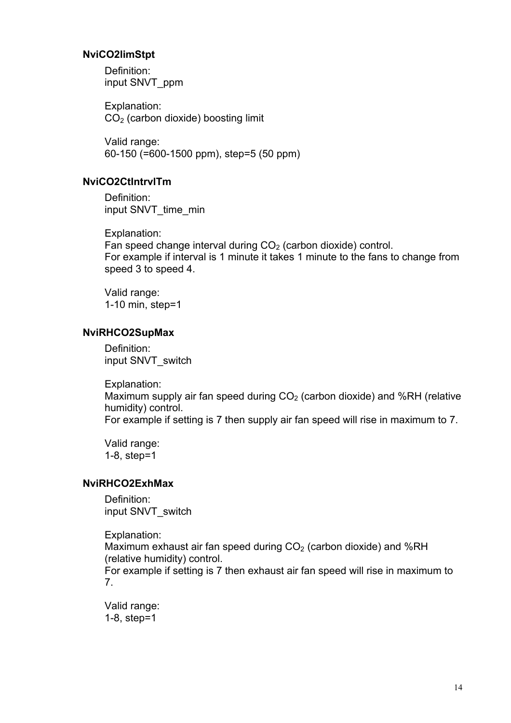#### <span id="page-13-0"></span> **NviCO2limStpt**

Definition: input SNVT\_ppm

Explanation: CO2 (carbon dioxide) boosting limit

Valid range: 60-150 (=600-1500 ppm), step=5 (50 ppm)

#### **NviCO2CtIntrvlTm**

Definition: input SNVT\_time\_min

Explanation:

Fan speed change interval during  $CO<sub>2</sub>$  (carbon dioxide) control. For example if interval is 1 minute it takes 1 minute to the fans to change from speed 3 to speed 4.

Valid range: 1-10 min, step=1

#### **NviRHCO2SupMax**

Definition: input SNVT\_switch

Explanation:

Maximum supply air fan speed during  $CO<sub>2</sub>$  (carbon dioxide) and %RH (relative humidity) control.

For example if setting is 7 then supply air fan speed will rise in maximum to 7.

Valid range: 1-8, step=1

#### **NviRHCO2ExhMax**

Definition: input SNVT\_switch

Explanation: Maximum exhaust air fan speed during  $CO<sub>2</sub>$  (carbon dioxide) and %RH (relative humidity) control. For example if setting is 7 then exhaust air fan speed will rise in maximum to 7.

Valid range: 1-8, step=1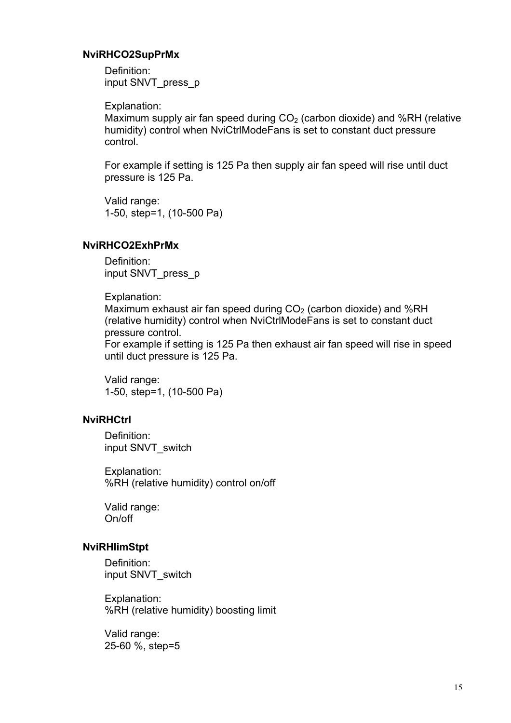#### <span id="page-14-0"></span> **NviRHCO2SupPrMx**

Definition: input SNVT\_press\_p

Explanation:

Maximum supply air fan speed during  $CO<sub>2</sub>$  (carbon dioxide) and %RH (relative humidity) control when NviCtrlModeFans is set to constant duct pressure control.

For example if setting is 125 Pa then supply air fan speed will rise until duct pressure is 125 Pa.

Valid range: 1-50, step=1, (10-500 Pa)

#### **NviRHCO2ExhPrMx**

Definition: input SNVT\_press\_p

Explanation:

Maximum exhaust air fan speed during  $CO<sub>2</sub>$  (carbon dioxide) and %RH (relative humidity) control when NviCtrlModeFans is set to constant duct pressure control.

For example if setting is 125 Pa then exhaust air fan speed will rise in speed until duct pressure is 125 Pa.

Valid range: 1-50, step=1, (10-500 Pa)

#### **NviRHCtrl**

Definition: input SNVT\_switch

Explanation: %RH (relative humidity) control on/off

Valid range: On/off

#### **NviRHlimStpt**

Definition: input SNVT\_switch

Explanation: %RH (relative humidity) boosting limit

Valid range: 25-60 %, step=5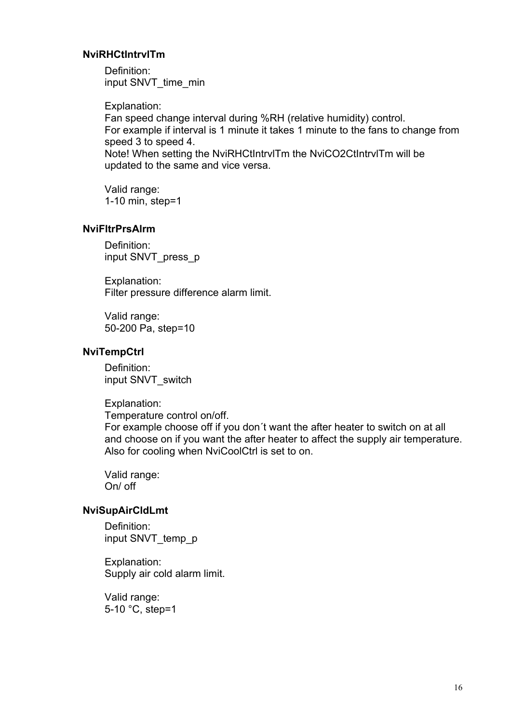#### <span id="page-15-0"></span> **NviRHCtIntrvlTm**

Definition: input SNVT\_time\_min

Explanation: Fan speed change interval during %RH (relative humidity) control. For example if interval is 1 minute it takes 1 minute to the fans to change from speed 3 to speed 4. Note! When setting the NviRHCtIntrvlTm the NviCO2CtIntrvlTm will be updated to the same and vice versa.

Valid range: 1-10 min, step=1

#### **NviFltrPrsAlrm**

Definition: input SNVT\_press\_p

Explanation: Filter pressure difference alarm limit.

Valid range: 50-200 Pa, step=10

#### **NviTempCtrl**

Definition: input SNVT\_switch

Explanation:

Temperature control on/off.

For example choose off if you don´t want the after heater to switch on at all and choose on if you want the after heater to affect the supply air temperature. Also for cooling when NviCoolCtrl is set to on.

Valid range: On/ off

#### **NviSupAirCldLmt**

Definition: input SNVT\_temp\_p

Explanation: Supply air cold alarm limit.

Valid range: 5-10 °C, step=1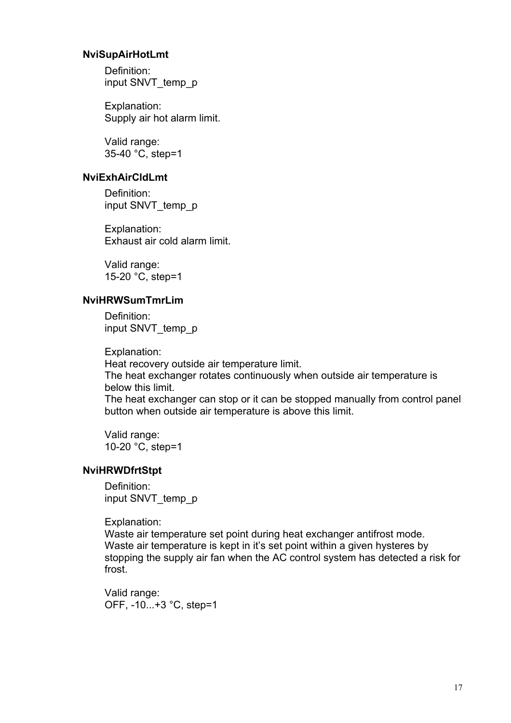#### <span id="page-16-0"></span> **NviSupAirHotLmt**

Definition: input SNVT\_temp\_p

Explanation: Supply air hot alarm limit.

Valid range: 35-40 °C, step=1

#### **NviExhAirCldLmt**

Definition: input SNVT\_temp\_p

Explanation: Exhaust air cold alarm limit.

Valid range: 15-20 °C, step=1

### **NviHRWSumTmrLim**

Definition: input SNVT\_temp\_p

Explanation:

Heat recovery outside air temperature limit. The heat exchanger rotates continuously when outside air temperature is below this limit.

The heat exchanger can stop or it can be stopped manually from control panel button when outside air temperature is above this limit.

Valid range: 10-20 °C, step=1

#### **NviHRWDfrtStpt**

Definition: input SNVT temp p

#### Explanation:

Waste air temperature set point during heat exchanger antifrost mode. Waste air temperature is kept in it's set point within a given hysteres by stopping the supply air fan when the AC control system has detected a risk for frost.

Valid range: OFF, -10...+3 °C, step=1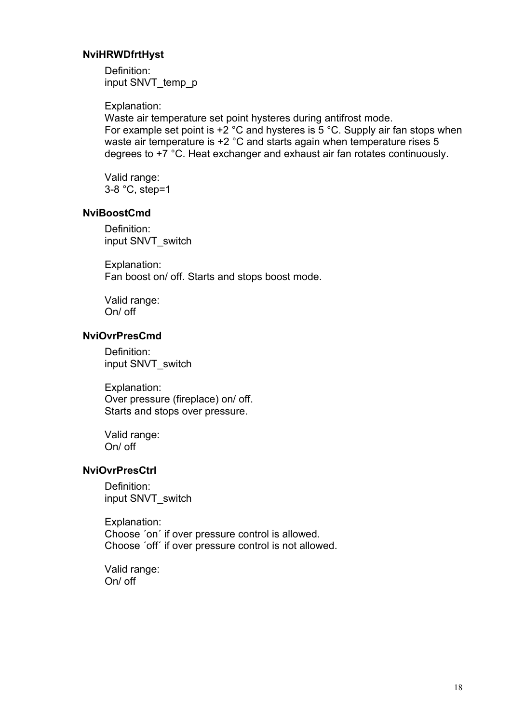#### <span id="page-17-0"></span> **NviHRWDfrtHyst**

Definition: input SNVT\_temp\_p

Explanation:

Waste air temperature set point hysteres during antifrost mode. For example set point is  $+2$  °C and hysteres is 5 °C. Supply air fan stops when waste air temperature is +2 °C and starts again when temperature rises 5 degrees to +7 °C. Heat exchanger and exhaust air fan rotates continuously.

Valid range: 3-8 °C, step=1

#### **NviBoostCmd**

Definition: input SNVT\_switch

Explanation: Fan boost on/ off. Starts and stops boost mode.

Valid range: On/ off

#### **NviOvrPresCmd**

Definition: input SNVT\_switch

Explanation: Over pressure (fireplace) on/ off. Starts and stops over pressure.

Valid range: On/ off

#### **NviOvrPresCtrl**

Definition: input SNVT\_switch

Explanation: Choose ´on´ if over pressure control is allowed. Choose ´off´ if over pressure control is not allowed.

Valid range: On/ off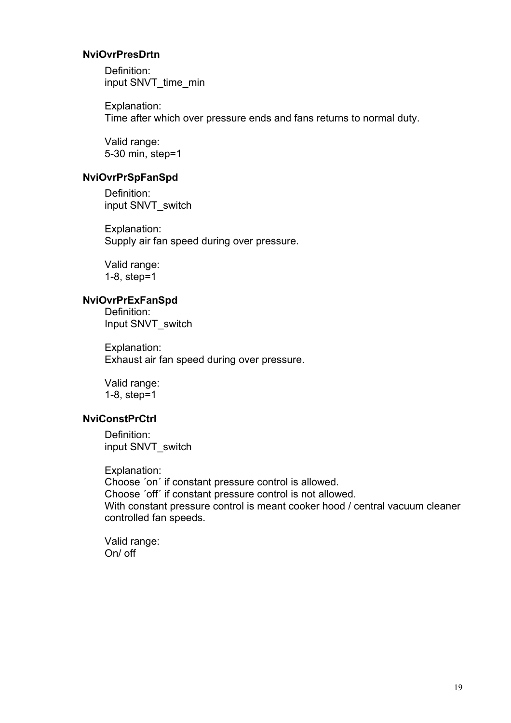#### <span id="page-18-0"></span> **NviOvrPresDrtn**

Definition: input SNVT\_time\_min

Explanation: Time after which over pressure ends and fans returns to normal duty.

Valid range: 5-30 min, step=1

#### **NviOvrPrSpFanSpd**

Definition: input SNVT\_switch

Explanation: Supply air fan speed during over pressure.

Valid range: 1-8, step=1

#### **NviOvrPrExFanSpd**

Definition: Input SNVT\_switch

Explanation: Exhaust air fan speed during over pressure.

Valid range: 1-8, step=1

#### **NviConstPrCtrl**

Definition: input SNVT\_switch

Explanation: Choose ´on´ if constant pressure control is allowed. Choose ´off´ if constant pressure control is not allowed. With constant pressure control is meant cooker hood / central vacuum cleaner controlled fan speeds.

Valid range: On/ off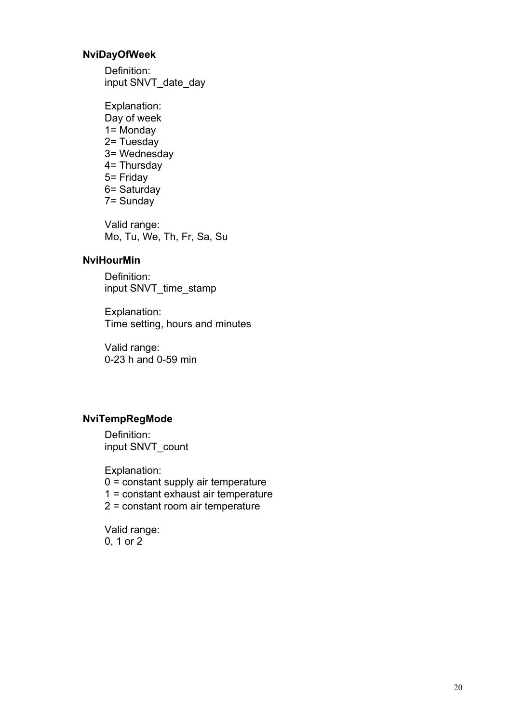#### <span id="page-19-0"></span> **NviDayOfWeek**

Definition: input SNVT\_date\_day

Explanation: Day of week 1= Monday 2= Tuesday 3= Wednesday 4= Thursday 5= Friday 6= Saturday 7= Sunday

Valid range: Mo, Tu, We, Th, Fr, Sa, Su

#### **NviHourMin**

Definition: input SNVT\_time\_stamp

Explanation: Time setting, hours and minutes

Valid range: 0-23 h and 0-59 min

#### **NviTempRegMode**

Definition: input SNVT\_count

Explanation: 0 = constant supply air temperature 1 = constant exhaust air temperature 2 = constant room air temperature

Valid range: 0, 1 or 2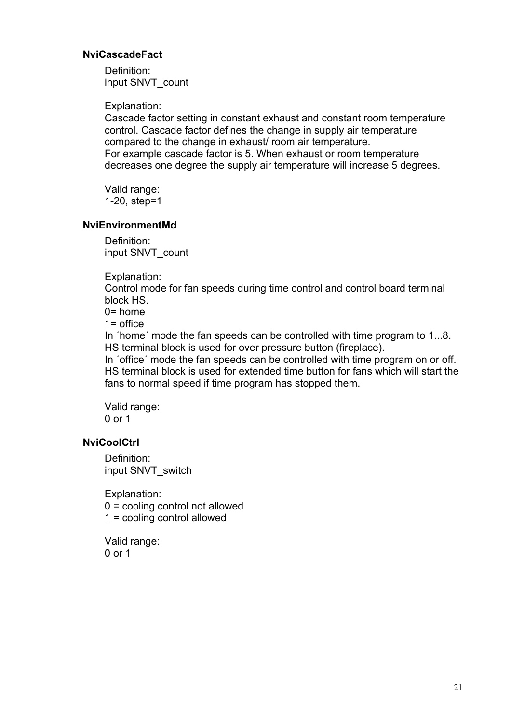#### <span id="page-20-0"></span> **NviCascadeFact**

Definition: input SNVT\_count

Explanation:

Cascade factor setting in constant exhaust and constant room temperature control. Cascade factor defines the change in supply air temperature compared to the change in exhaust/ room air temperature. For example cascade factor is 5. When exhaust or room temperature decreases one degree the supply air temperature will increase 5 degrees.

Valid range: 1-20, step=1

#### **NviEnvironmentMd**

Definition: input SNVT\_count

Explanation:

Control mode for fan speeds during time control and control board terminal block HS.

 $0=$  home

1= office

In ´home´ mode the fan speeds can be controlled with time program to 1...8. HS terminal block is used for over pressure button (fireplace).

In ´office´ mode the fan speeds can be controlled with time program on or off. HS terminal block is used for extended time button for fans which will start the fans to normal speed if time program has stopped them.

Valid range: 0 or 1

#### **NviCoolCtrl**

Definition: input SNVT\_switch

Explanation: 0 = cooling control not allowed 1 = cooling control allowed

Valid range: 0 or 1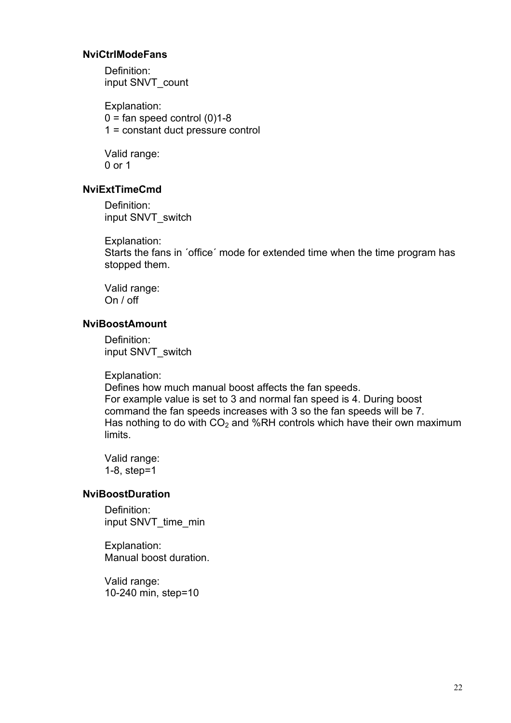#### <span id="page-21-0"></span> **NviCtrlModeFans**

Definition: input SNVT\_count

Explanation:  $0 = \text{fan speed control}$  (0)1-8 1 = constant duct pressure control

Valid range: 0 or 1

#### **NviExtTimeCmd**

Definition: input SNVT\_switch

Explanation: Starts the fans in ´office´ mode for extended time when the time program has stopped them.

Valid range: On / off

#### **NviBoostAmount**

Definition: input SNVT\_switch

Explanation:

Defines how much manual boost affects the fan speeds. For example value is set to 3 and normal fan speed is 4. During boost command the fan speeds increases with 3 so the fan speeds will be 7. Has nothing to do with  $CO<sub>2</sub>$  and %RH controls which have their own maximum limits.

Valid range: 1-8, step=1

#### **NviBoostDuration**

Definition: input SNVT\_time\_min

Explanation: Manual boost duration.

Valid range: 10-240 min, step=10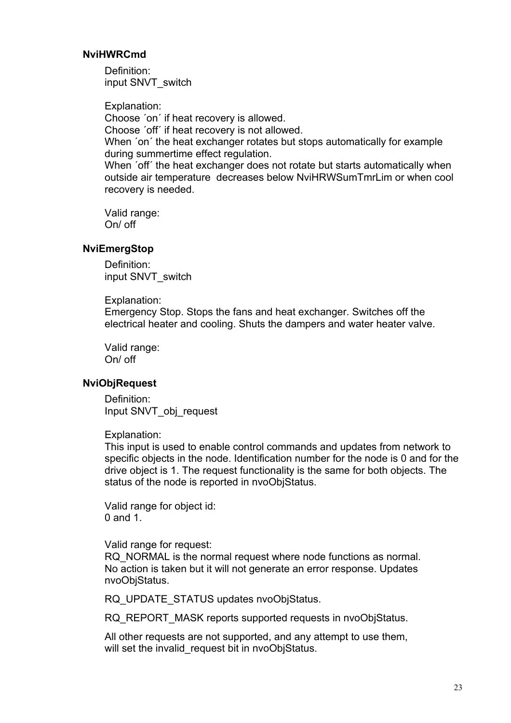#### <span id="page-22-0"></span> **NviHWRCmd**

Definition: input SNVT\_switch

Explanation: Choose ´on´ if heat recovery is allowed. Choose ´off´ if heat recovery is not allowed. When 'on' the heat exchanger rotates but stops automatically for example during summertime effect regulation. When 'off' the heat exchanger does not rotate but starts automatically when outside air temperature decreases below NviHRWSumTmrLim or when cool recovery is needed.

Valid range: On/ off

#### **NviEmergStop**

Definition: input SNVT\_switch

Explanation:

Emergency Stop. Stops the fans and heat exchanger. Switches off the electrical heater and cooling. Shuts the dampers and water heater valve.

Valid range: On/ off

#### **NviObjRequest**

Definition: Input SNVT\_obj\_request

Explanation:

This input is used to enable control commands and updates from network to specific objects in the node. Identification number for the node is 0 and for the drive object is 1. The request functionality is the same for both objects. The status of the node is reported in nvoObjStatus.

Valid range for object id: 0 and 1.

Valid range for request:

RQ\_NORMAL is the normal request where node functions as normal. No action is taken but it will not generate an error response. Updates nvoObjStatus.

RQ UPDATE STATUS updates nvoObjStatus.

RQ\_REPORT\_MASK reports supported requests in nvoObiStatus.

All other requests are not supported, and any attempt to use them. will set the invalid request bit in nvoObjStatus.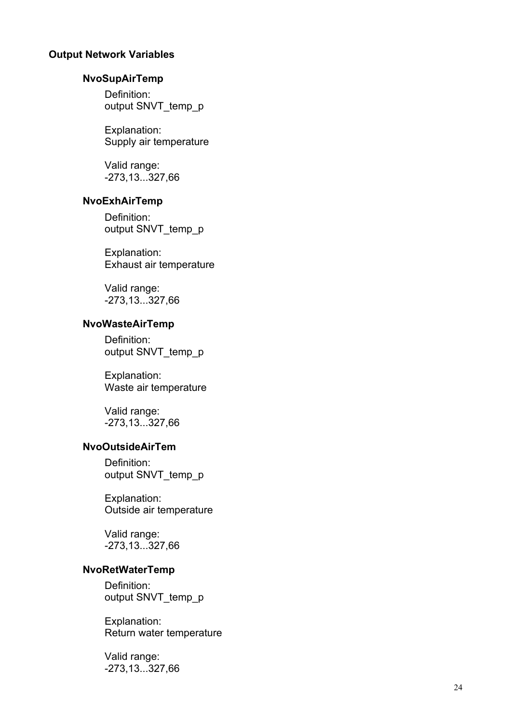#### <span id="page-23-0"></span>**Output Network Variables**

#### **NvoSu pAirTemp**

Definition: output SNVT\_temp\_p

Explanation: Supply air temperature

Valid range: -273,13...327,66

#### **NvoEx hAirTemp**

Definition: output SNVT\_temp\_p

Explanation: Exhaust air temperature

Valid range: -273,13...327,66

#### **NvoWasteAirTemp**

Definition: output SNVT\_temp\_p

Explanation: Waste air temperature

Valid range: -273,13...327,66

#### **NvoOutsideAirTem**

Definition: output SNVT\_temp\_p

Explanation: Outside air temperature

Valid range: -273,13...327,66

#### **NvoRetWaterTemp**

Definition: output SNVT\_temp\_p

Explanation: Return water temperature

Valid range: -273,13...327,66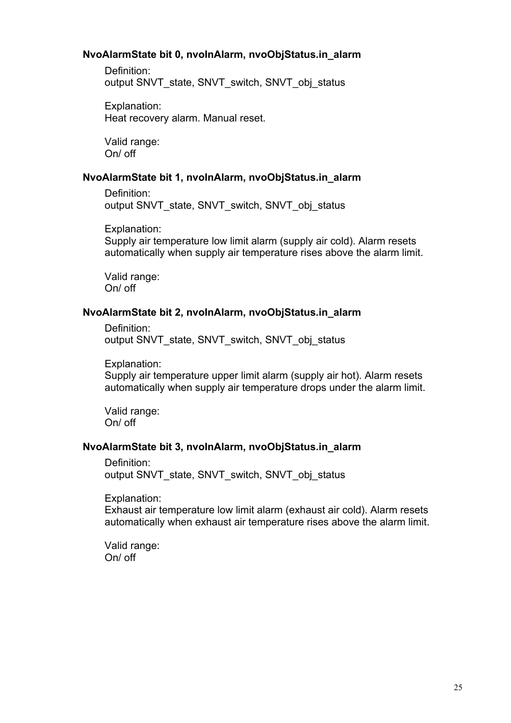#### <span id="page-24-0"></span>**NvoAlarmState bit 0, nvoInAlarm, nvoObjStatus.in\_alarm**

Definition: output SNVT\_state, SNVT\_switch, SNVT\_obj\_status

Explanation: Heat recovery alarm. Manual reset.

Valid range: On/ off

#### **NvoAlarmState bit 1, nvoInAlarm, nvoObjStatus.in\_alarm**

Definition: output SNVT\_state, SNVT\_switch, SNVT\_obj\_status

Explanation: Supply air temperature low limit alarm (supply air cold). Alarm resets automatically when supply air temperature rises above the alarm limit.

Valid range: On/ off

#### **NvoAlarmState bit 2, nvoInAlarm, nvoObjStatus.in\_alarm**

Definition: output SNVT\_state, SNVT\_switch, SNVT\_obj\_status

Explanation: Supply air temperature upper limit alarm (supply air hot). Alarm resets automatically when supply air temperature drops under the alarm limit.

Valid range: On/ off

#### **NvoAlarmState bit 3, nvoInAlarm, nvoObjStatus.in\_alarm**

Definition: output SNVT\_state, SNVT\_switch, SNVT\_obj\_status

Explanation:

Exhaust air temperature low limit alarm (exhaust air cold). Alarm resets automatically when exhaust air temperature rises above the alarm limit.

Valid range: On/ off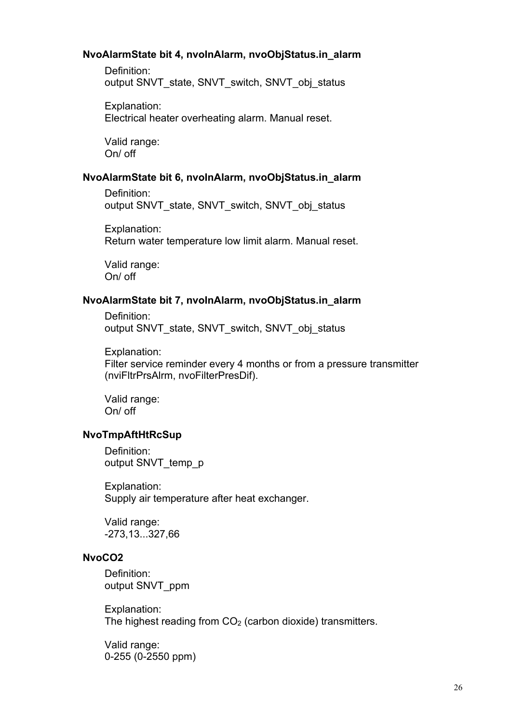#### <span id="page-25-0"></span>**NvoAlarmState bit 4, nvoInAlarm, nvoObjStatus.in\_alarm**

Definition: output SNVT\_state, SNVT\_switch, SNVT\_obj\_status

Explanation: Electrical heater overheating alarm. Manual reset.

Valid range: On/ off

#### **NvoAlarmState bit 6, nvoInAlarm, nvoObjStatus.in\_alarm**

Definition: output SNVT\_state, SNVT\_switch, SNVT\_obj\_status

Explanation: Return water temperature low limit alarm. Manual reset.

Valid range: On/ off

#### **NvoAlarmState bit 7, nvoInAlarm, nvoObjStatus.in\_alarm**

Definition: output SNVT\_state, SNVT\_switch, SNVT\_obj\_status

Explanation: Filter service reminder every 4 months or from a pressure transmitter (nviFltrPrsAlrm, nvoFilterPresDif).

Valid range: On/ off

#### **NvoTmpAftHtRcSup**

Definition: output SNVT\_temp\_p

Explanation: Supply air temperature after heat exchanger.

Valid range: -273,13...327,66

#### **NvoCO2**

Definition: output SNVT\_ppm

Explanation: The highest reading from  $CO<sub>2</sub>$  (carbon dioxide) transmitters.

Valid range: 0-255 (0-2550 ppm)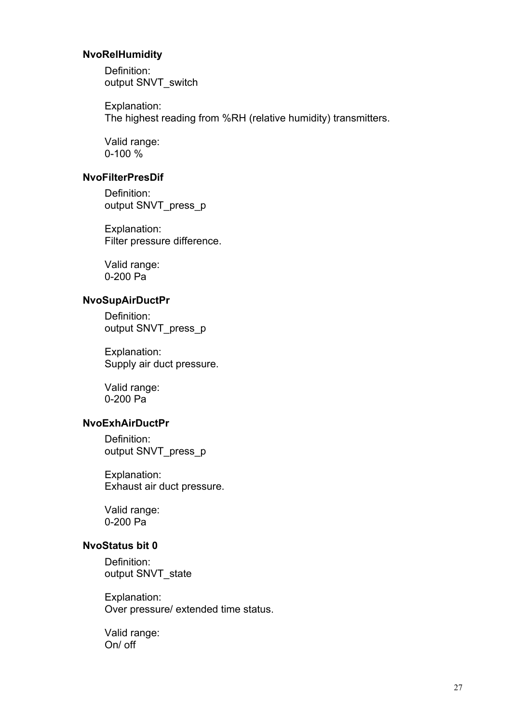#### <span id="page-26-0"></span> **NvoRelHumidity**

Definition: output SNVT\_switch

Explanation: The highest reading from %RH (relative humidity) transmitters.

Valid range: 0-100 %

#### **NvoFilterPresDif**

Definition: output SNVT\_press\_p

Explanation: Filter pressure difference.

Valid range: 0-200 Pa

#### **NvoSupAirDuctPr**

Definition: output SNVT\_press\_p

Explanation: Supply air duct pressure.

Valid range: 0-200 Pa

#### **NvoExhAirDuctPr**

Definition: output SNVT\_press\_p

Explanation: Exhaust air duct pressure.

Valid range: 0-200 Pa

#### **NvoStatus bit 0**

Definition: output SNVT\_state

Explanation: Over pressure/ extended time status.

Valid range: On/ off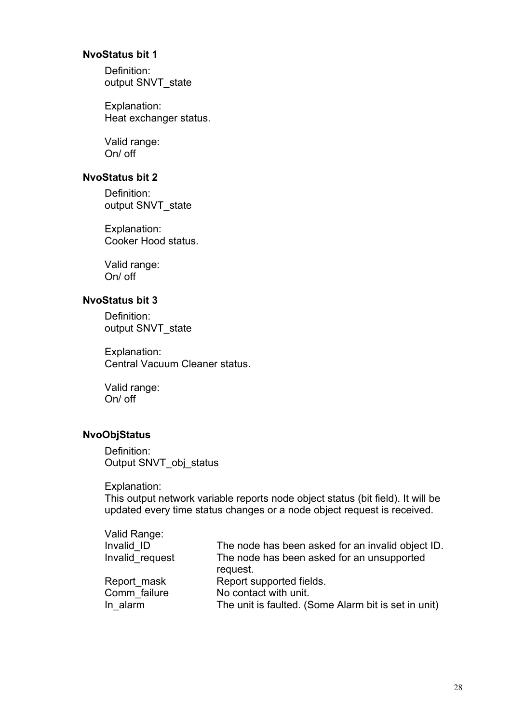#### <span id="page-27-0"></span>**NvoStatus bit 1**

Definition: output SNVT\_state

Explanation: Heat exchanger status.

Valid range: On/ off

#### **NvoStatus bit 2**

Definition: output SNVT\_state

Explanation: Cooker Hood status.

Valid range: On/ off

#### **NvoStatus bit 3**

Definition: output SNVT\_state

Explanation: Central Vacuum Cleaner status.

Valid range: On/ off

### **NvoObjStatus**

Definition: Output SNVT\_obj\_status

Explanation:

This output network variable reports node object status (bit field). It will be updated every time status changes or a node object request is received.

| The node has been asked for an invalid object ID.    |
|------------------------------------------------------|
| The node has been asked for an unsupported           |
| request.                                             |
| Report supported fields.                             |
| No contact with unit.                                |
| The unit is faulted. (Some Alarm bit is set in unit) |
|                                                      |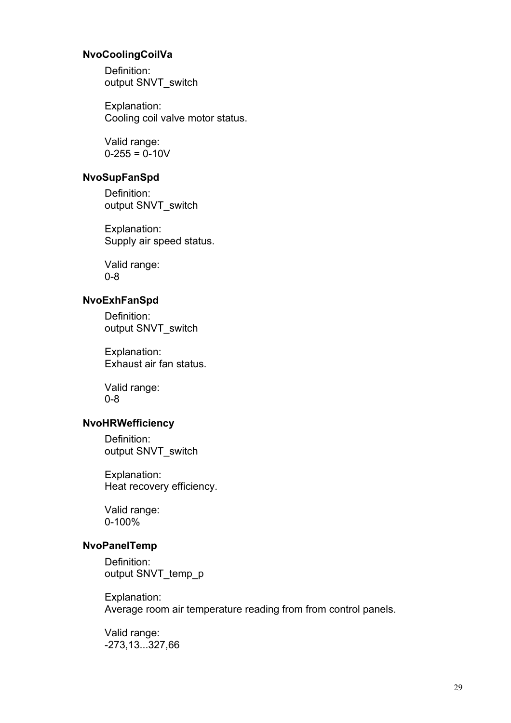#### <span id="page-28-0"></span> **NvoCoolingCoilVa**

Definition: output SNVT\_switch

Explanation: Cooling coil valve motor status.

Valid range:  $0 - 255 = 0 - 10V$ 

#### **NvoSupFanSpd**

Definition: output SNVT\_switch

Explanation: Supply air speed status.

Valid range: 0-8

#### **NvoExhFanSpd**

Definition: output SNVT\_switch

Explanation: Exhaust air fan status.

Valid range: 0-8

### **NvoHRWefficiency**

Definition: output SNVT\_switch

Explanation: Heat recovery efficiency.

Valid range: 0-100%

#### **NvoPanelTemp**

Definition: output SNVT\_temp\_p

Explanation: Average room air temperature reading from from control panels.

Valid range: -273,13...327,66